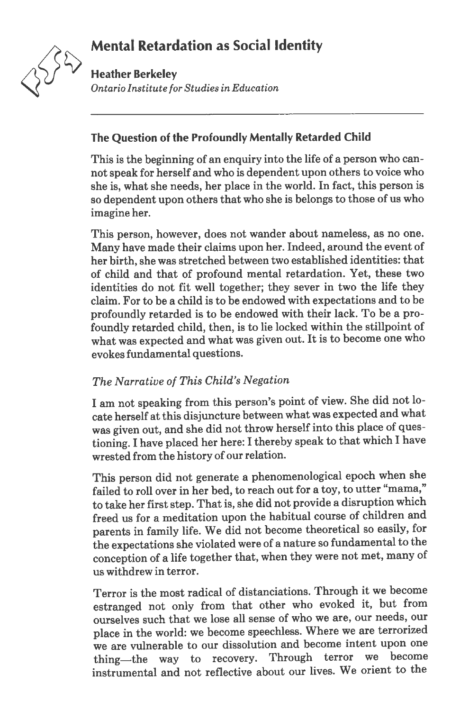# Mental Retardation as Social Identity



**Heather Berkeley** Ontario Institute for Studies in Education

## The Question of the Profoundly Mentally Retarded child

This is the beginning of an enquiry into the life of <sup>a</sup> person who can not speak for herself and who is dependent upon others to voice who she is, what she needs, her place in the world. In fact, this person is so dependent upon others that who she is belongs to those of us who imagine her.

This person, however, does not wander about nameless, as no one. Many have made their claims upon her. Indeed, around the event of her birth, she was stretched between two established identities: that child and that of profound mental retardation. Yet, these two identities do not fit well together; they sever in two the life they claim. For to be <sup>a</sup> child is to be endowed with expectations and to be profoundly retarded is to be endowed with their lack. To be <sup>a</sup> pro foundly retarded child, then, is to lie locked within the stillpoint of what was expected and what was given out. It is to become one who evokes fundamental questions.

# The Narrative of This Child's Negation

<sup>I</sup> am not speaking from this person's point of view. She did not lo cate herself at this disjuncture between what was expected and what was given out, and she did not throw herself into this place of ques tioning. I have placed her here: I thereby speak to that which I have wrested from the history of our relation.

This person did not generate <sup>a</sup> phenomenological epoch when she failed to roll over in her bed, to reach out for <sup>a</sup> toy, to utter "mama," to take her first step. That is, she did not provide <sup>a</sup> disruption which freed us for <sup>a</sup> meditation upon the habitual course of children and parents in family life. We did not become theoretical so easily, for the expectations she violated were of <sup>a</sup> nature so fundamental to the conception of <sup>a</sup> life together that, when they were not met, many of us withdrew in terror.

Terror is the most radical of distanciations. Through it we become estranged not only from that other who evoked it, but from ourselves such that we lose all sense of who we are, our needs, our place in the world: we become speechless. Where we are terrorized we are vulnerable to our dissolution and become intent upon one<br>thing the way to recovery Through terror we become thing—the way to recovery. Through terror instrumental and not reflective about our lives. We orient to the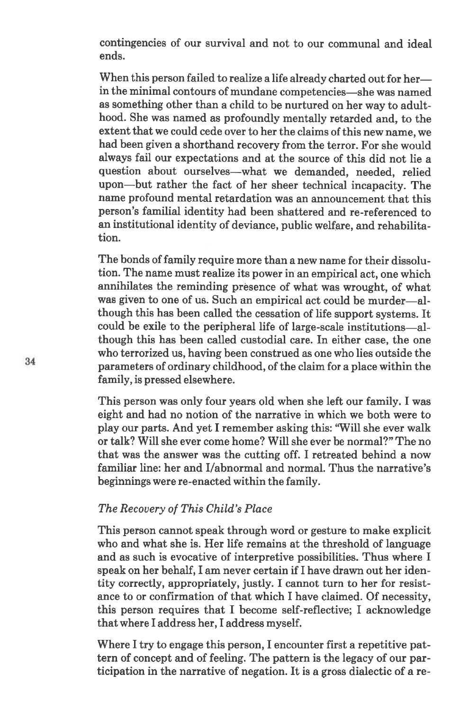contingencies of our survival and not to our communal and ideal ends.

When this person failed to realize a life already charted out for herin the minimal contours of mundane competencies—she was named as something other than <sup>a</sup> child to be nurtured on her way to adult hood. She was named as profoundly mentally retarded and, to the extent that we could cede over to her the claims of this new name, we had been given <sup>a</sup> shorthand recovery from the terror. For she would always fail our expectations and at the source of this did not lie <sup>a</sup> question about ourselves—what we demanded, needed, relied upon—but rather the fact of her sheer technical incapacity. The name profound mental retardation was an announcement that this person's familial identity had been shattered and re-referenced to an institutional identity of deviance, public welfare, and rehabilita tion.

The bonds of family require more than a new name for their dissolution. The name must realize its power in an empirical act, one which annihilates the reminding presence of what was wrought, of what was given to one of us. Such an empirical act could be murder—although this has been called the cessation of life support systems. It could be exile to the peripheral life of large-scale institutions—al though this has been called custodial care. In either case, the one who terrorized us, having been construed as one who lies outside the parameters of ordinary childhood, of the claim for a place within the family, is pressed elsewhere.

This person was only four years old when she left our family. I was eight and had no notion of the narrative in which we both were to play our parts. And yet I remember asking this: "Will she ever walk or talk? Will she ever come home? Will she ever be normal?" The no that was the answer was the cutting off. I retreated behind <sup>a</sup> now familiar line: her and I/abnormal and normal. Thus the narrative's beginnings were re-enacted within the family.

#### The Recovery of This Child's Place

This person cannot speak through word or gesture to make explicit who and what she is. Her life remains at the threshold of language and as such is evocative of interpretive possibilities. Thus where I speak on her behalf, I am never certain if I have drawn out her identity correctly, appropriately, justly. I cannot turn to her for resist ance to or confirmation of that which I have claimed. Of necessity, this person requires that I become self-reflective; I acknowledge that where I address her, I address myself.

Where I try to engage this person, I encounter first <sup>a</sup> repetitive pat tern of concept and of feeling. The pattern is the legacy of our par ticipation in the narrative of negation. It is <sup>a</sup> gross dialectic of <sup>a</sup> re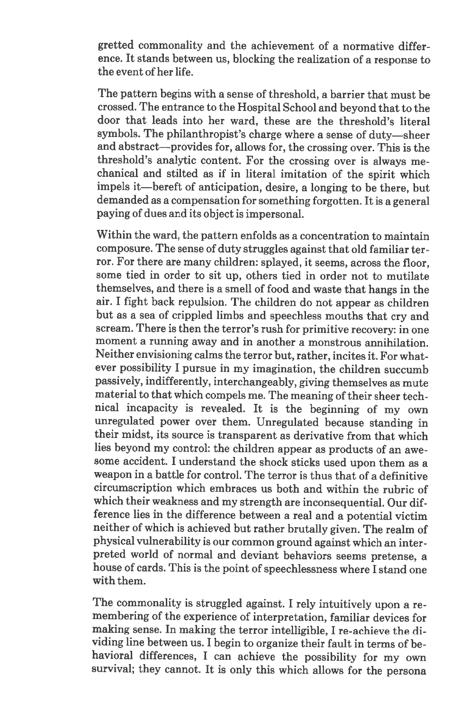gretted commonality and the achievement of <sup>a</sup> normative differ ence. It stands between us, blocking the realization of <sup>a</sup> response to the event of her life.

The pattern begins with <sup>a</sup> sense of threshold, <sup>a</sup> barrier that must be crossed. The entrance to the Hospital School and beyond that to the door that leads into her ward, these are the threshold's literal symbols. The philanthropist's charge where <sup>a</sup> sense of duty—sheer and abstract—provides for, allows for, the crossing over. This is the threshold's analytic content. For the crossing over is always me chanical and stilted as if in literal imitation of the spirit which impels it—bereft of anticipation, desire, <sup>a</sup> longing to be there, but demanded as <sup>a</sup> compensation for something forgotten. Itis <sup>a</sup> general paying of dues and its object is impersonal.

Within the ward, the pattern enfolds as <sup>a</sup> concentration to maintain composure. The sense of duty struggles against that old familiar ter ror. For there are many children: splayed, it seems, across the floor, some tied in order to sit up, others tied in order not to mutilate themselves, and there is <sup>a</sup> smell of food and waste that hangs in the air. I fight back repulsion. The children do not appear as children but as <sup>a</sup> sea of crippled limbs and speechless mouths that cry and scream. There is then the terror's rush for primitive recovery: in one moment <sup>a</sup> running away and in another <sup>a</sup> monstrous annihilation. Neither envisioning calms the terror but, rather, incites it. For what ever possibility I pursue in my imagination, the children succumb passively, indifferently, interchangeably, giving themselves as mute material to that which compels me. The meaning of their sheer technical incapacity is revealed. It is the beginning of my own unregulated power over them. Unregulated because standing in their midst, its source is transparent as derivative from that which lies beyond my control: the children appear as products of an awe some accident. <sup>I</sup> understand the shock sticks used upon them as <sup>a</sup> weapon in <sup>a</sup> battle for control. The terror is thus that of <sup>a</sup> definitive circumscription which embraces us both and within the rubric of which their weakness and my strength are inconsequential. Our dif ference lies in the difference between <sup>a</sup> real and <sup>a</sup> potential victim neither of which is achieved but rather brutally given. The realm of physical vulnerability is our common ground against which an inter preted world of normal and deviant behaviors seems pretense, <sup>a</sup> house of cards. This is the point of speechlessness where I stand one with them.

The commonality is struggled against. I rely intuitively upon <sup>a</sup> re membering of the experience of interpretation, familiar devices for making sense. In making the terror intelligible, I re-achieve the di viding line between us. I begin to organize their fault in terms of be havioral differences, I can achieve the possibility for my own survival; they cannot. It is only this which allows for the persona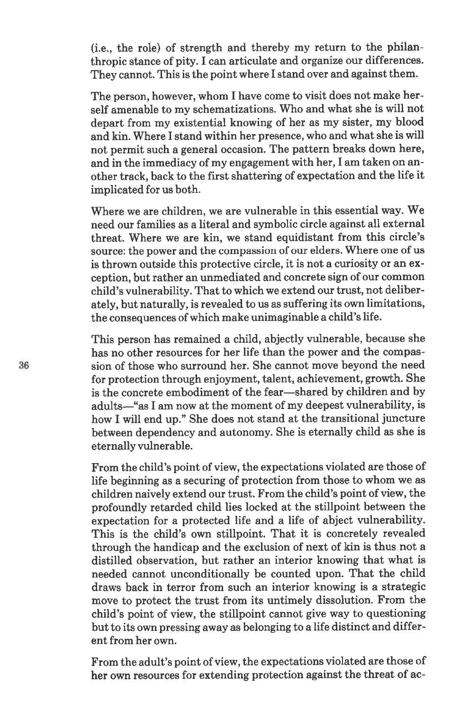(i.e., the role) of strength and thereby my return to the philan thropic stance of pity. I can articulate and organize our differences. They cannot. This is the point where I stand over and against them.

The person, however, whom <sup>I</sup> have come to visit does not make her self amenable to my schematizations. Who and what she is will not depart from my existential knowing of her as my sister, my blood and kin. Where I stand within her presence, who and what she is will not permit such <sup>a</sup> general occasion. The pattern breaks down here, and in the immediacy of my engagement with her, <sup>I</sup> am taken on an other track, back to the first shattering of expectation and the life it implicated for us both.

Where we are children, we are vulnerable in this essential way. We need our families as <sup>a</sup> literal and symbolic circle against all external threat. Where we are kin, we stand equidistant from this circle's source: the power and the compassion of our elders. Where one of us is thrown outside this protective circle, it is not <sup>a</sup> curiosity or an ex ception, but rather an unmediated and concrete sign of our common child's vulnerability. That to which we extend our trust, not deliber ately, but naturally, is revealed to us as suffering its own limitations, the consequences of which make unimaginable <sup>a</sup> child's life.

This person has remained <sup>a</sup> child, abjectly vulnerable, because she has no other resources for her life than the power and the compas sion of those who surround her. She cannot move beyond the need for protection through enjoyment, talent, achievement, growth. She is the concrete embodiment of the fear—shared by children and by adults—"as <sup>I</sup> am now at the moment of my deepest vulnerability, is how I will end up." She does not stand at the transitional juncture between dependency and autonomy. She is eternally child as she is eternally vulnerable.

From the child's point of view, the expectations violated are those of life beginning as <sup>a</sup> securing of protection from those to whom we as children naively extend our trust. From the child's point of view, the profoundly retarded child lies locked at the stillpoint between the expectation for <sup>a</sup> protected life and <sup>a</sup> life of abject vulnerability. This is the child's own stillpoint. That it is concretely revealed through the handicap and the exclusion of next of kin is thus not <sup>a</sup> distilled observation, but rather an interior knowing that what is needed cannot unconditionally be counted upon. That the child draws back in terror from such an interior knowing is <sup>a</sup> strategic move to protect the trust from its untimely dissolution. From the child's point of view, the stillpoint cannot give way to questioning but to its own pressing away as belonging to a life distinct and different from her own.

From the adult's point of view, the expectations violated are those of her own resources for extending protection against the threat of ac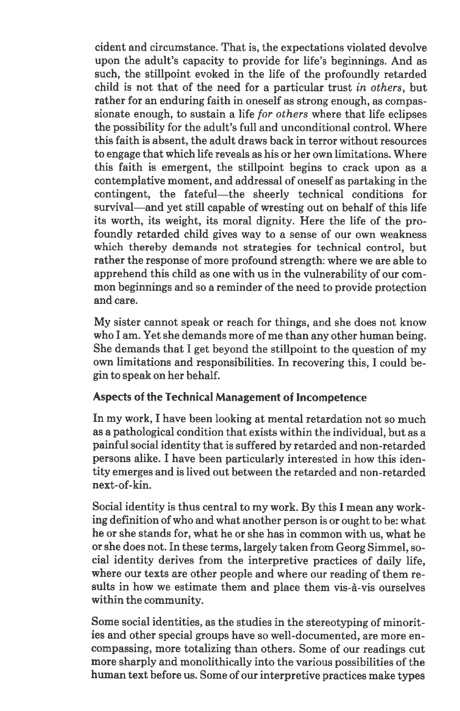cident and circumstance. That is, the expectations violated devolve upon the adult's capacity to provide for life's beginnings. And as such, the stillpoint evoked in the life of the profoundly retarded child is not that of the need for <sup>a</sup> particular trust in others, but rather for an enduring faith in oneself as strong enough, as compas sionate enough, to sustain a life for others where that life eclipses the possibility for the adult's full and unconditional control. Where this faith is absent, the adult draws back in terror without resources to engage that which life reveals as his or her own limitations. Where this faith is emergent, the stillpoint begins to crack upon as <sup>a</sup> contemplative moment, and addressal of oneself as partaking in the contingent, the fateful—the sheerly technical conditions for survival—and yet still capable of wresting out on behalf of this life its worth, its weight, its moral dignity. Here the life of the pro foundly retarded child gives way to <sup>a</sup> sense of our own weakness which thereby demands not strategies for technical control, but rather the response of more profound strength: where we are able to apprehend this child as one with us in the vulnerability of our com mon beginnings and so a reminder of the need to provide protection and care.

My sister cannot speak or reach for things, and she does not know who I am. Yet she demands more of me than any other human being. She demands that I get beyond the stillpoint to the question of my own limitations and responsibilities. In recovering this, I could be gin to speak on her behalf.

### Aspects of the Technical Management of Incompetence

In my work, I have been looking at mental retardation not so much as <sup>a</sup> pathological condition that exists within the individual, but as <sup>a</sup> painful social identity that is suffered by retarded and non-retarded persons alike. I have been particularly interested in how this iden tity emerges and is lived out between the retarded and non-retarded next-of-kin.

Social identity is thus central to my work. By this I mean any work ing definition of who and what another person is or ought to be: what he or she stands for, what he or she has in common with us, what he or she does not. In these terms, largely taken from Georg Simmel, so cial identity derives from the interpretive practices of daily life, where our texts are other people and where our reading of them re sults in how we estimate them and place them vis-à-vis ourselves within the community.

Some social identities, as the studies in the stereotyping of minorit ies and other special groups have so well-documented, are more en compassing, more totalizing than others. Some of our readings cut more sharply and monolithically into the various possibilities of the human text before us. Some of our interpretive practices make types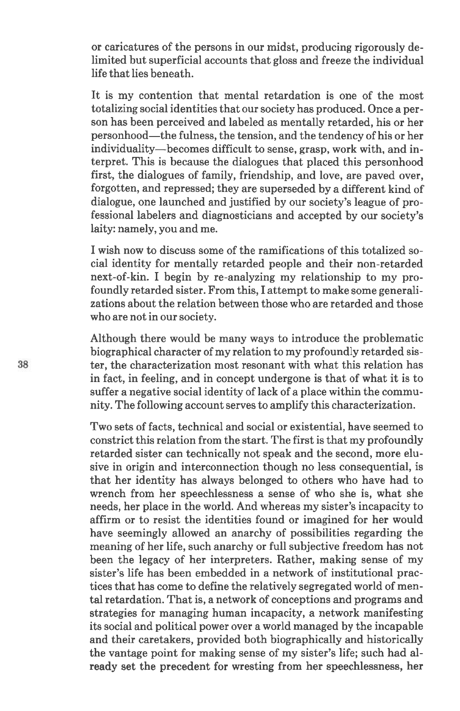or caricatures of the persons in our midst, producing rigorously de limited but superficial accounts that gloss and freeze the individual life that lies beneath.

It is my contention that mental retardation is one of the most totalizing social identities that our society has produced. Once <sup>a</sup> per son has been perceived and labeled as mentally retarded, his or her personhood—the fulness, the tension, and the tendency of his or her individuality—becomes difficult to sense, grasp, work with, and in terpret. This is because the dialogues that placed this personhood first, the dialogues of family, friendship, and love, are paved over, forgotten, and repressed; they are superseded by <sup>a</sup> different kind of dialogue, one launched and justified by our society's league of pro fessional labelers and diagnosticians and accepted by our society's laity: namely, you and me.

I wish now to discuss some of the ramifications of this totalized so cial identity for mentally retarded people and their non-retarded next-of-kin. I begin by re-analyzing my relationship to my pro foundly retarded sister. From this, <sup>I</sup> attempt to make some generali zations about the relation between those who are retarded and those who are not in our society.

Although there would be many ways to introduce the problematic biographical character of my relation to my profoundly retarded sis ter, the characterization most resonant with what this relation has in fact, in feeling, and in concept undergone is that of what it is to suffer a negative social identity of lack of a place within the community. The following account serves to amplify this characterization.

Two sets of facts, technical and social or existential, have seemed to constrict this relation from the start. The first is that my profoundly retarded sister can technically not speak and the second, more elu sive in origin and interconnection though no less consequential, is that her identity has always belonged to others who have had to wrench from her speechlessness <sup>a</sup> sense of who she is, what she needs, her place in the world. And whereas my sister's incapacity to affirm or to resist the identities found or imagined for her would have seemingly allowed an anarchy of possibilities regarding the meaning of her life, such anarchy or full subjective freedom has not been the legacy of her interpreters. Rather, making sense of my sister's life has been embedded in <sup>a</sup> network of institutional prac tices that has come to define the relatively segregated world of men tal retardation. That is, <sup>a</sup> network of conceptions and programs and strategies for managing human incapacity, <sup>a</sup> network manifesting its social and political power over <sup>a</sup> world managed by the incapable and their caretakers, provided both biographically and historically the vantage point for making sense of my sister's life; such had al ready set the precedent for wresting from her speechlessness, her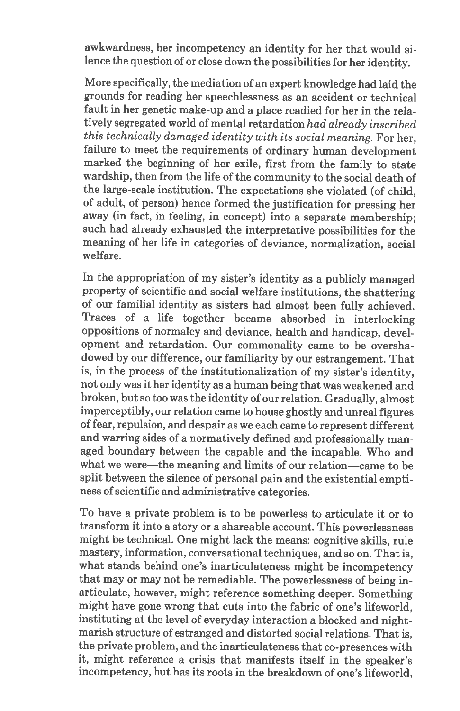awkwardness, her incompetency an identity for her that would si lence the question of or close down the possibilities for her identity.

More specifically, the mediation of an expert knowledge had laid the grounds for reading her speechlessness as an accident or technical fault in her genetic make-up and <sup>a</sup> place readied for her in the rela tively segregated world of mental retardation had already inscribed this technically damaged identity with its social meaning. For her, failure to meet the requirements of ordinary human development marked the beginning of her exile, first from the family to state wardship, then from the life of the community to the social death of the large-scale institution. The expectations she violated (of child, of adult, of person) hence formed the justification for pressing her away (in fact, in feeling, in concept) into <sup>a</sup> separate membership; such had already exhausted the interpretative possibilities for the meaning of her life in categories of deviance, normalization, social welfare.

In the appropriation of my sister's identity as <sup>a</sup> publicly managed property of scientific and social welfare institutions, the shattering of our familial identity as sisters had almost been fully achieved. Traces of <sup>a</sup> life together became absorbed in interlocking oppositions of normalcy and deviance, health and handicap, devel opment and retardation. Our commonality came to be oversha dowed by our difference, our familiarity by our estrangement. That is, in the process of the institutionalization of my sister's identity, not only was it her identity as <sup>a</sup> human being that was weakened and broken, but so too was the identity of our relation. Gradually, almost imperceptibly, our relation came to house ghostly and unreal figures of fear, repulsion, and despair as we each came to represent different and warring sides of <sup>a</sup> normatively defined and professionally man aged boundary between the capable and the incapable. Who and what we were—the meaning and limits of our relation—came to be split between the silence of personal pain and the existential empti ness of scientific and administrative categories.

To have <sup>a</sup> private problem is to be powerless to articulate it or to transform it into <sup>a</sup> story or <sup>a</sup> shareable account. This powerlessness might be technical. One might lack the means: cognitive skills, rule mastery, information, conversational techniques, and so on. That is, what stands behind one's inarticulateness might be incompetency that may or may not be remediable. The powerlessness of being in articulate, however, might reference something deeper. Something might have gone wrong that cuts into the fabric of one's lifeworid, instituting at the level of everyday interaction <sup>a</sup> blocked and night marish structure of estranged and distorted social relations. That is, the private problem, and the inarticulateness that co-presences with it, might reference <sup>a</sup> crisis that manifests itself in the speaker's incompetency, but has its roots in the breakdown of one's lifeworld,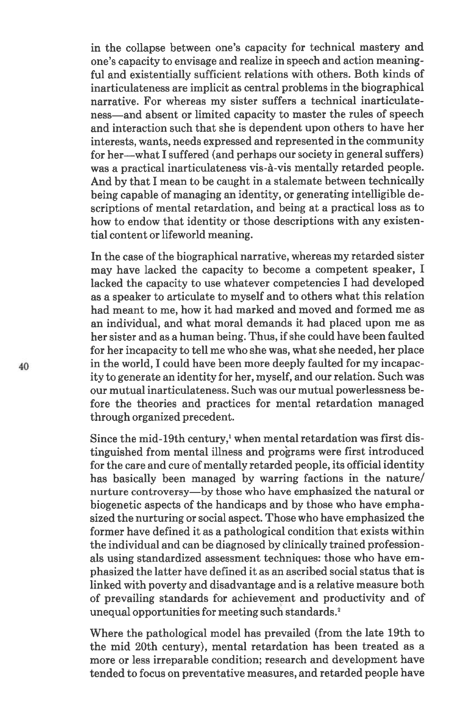in the collapse between one's capacity for technical mastery and one's capacity to envisage and realize in speech and action meaning ful and existentially sufficient relations with others. Both kinds of inarticulateness are implicit as central problems in the biographical narrative. For whereas my sister suffers <sup>a</sup> technical inarticulate ness—and absent or limited capacity to master the rules of speech and interaction such that she is dependent upon others to have her interests, wants, needs expressed and represented in the community for her—what I suffered (and perhaps our society in general suffers) was <sup>a</sup> practical inarticulateness vis-à-vis mentally retarded people. And by that I mean to be caught in <sup>a</sup> stalemate between technically being capable of managing an identity, or generating intelligible de scriptions of mental retardation, and being at <sup>a</sup> practical loss as to how to endow that identity or those descriptions with any existen tial content or lifeworld meaning.

In the case of the biographical narrative, whereas my retarded sister may have lacked the capacity to become <sup>a</sup> competent speaker, I lacked the capacity to use whatever competencies I had developed as <sup>a</sup> speaker to articulate to myself and to others what this relation had meant to me, how it had marked and moved and formed me as an individual, and what moral demands it had placed upon me as her sister and as <sup>a</sup> human being. Thus, if she could have been faulted for her incapacity to tell me who she was, what she needed, her place in the world, I could have been more deeply faulted for my incapac ity to generate an identity for her, myself, and our relation. Such was our mutual inarticulateness. Such was our mutual powerlessness be fore the theories and practices for mental retardation managed through organized precedent.

Since the mid-l9th century,' when mental retardation was first dis tinguished from mental illness and programs were first introduced for the care and cure of mentally retarded people, its official identity has basically been managed by warring factions in the nature/ nurture controversy—by those who have emphasized the natural or biogenetic aspects of the handicaps and by those who have empha sized the nurturing or social aspect. Those who have emphasized the former have defined it as <sup>a</sup> pathological condition that exists within the individual and can be diagnosed by clinically trained profession als using standardized assessment techniques: those who have em phasized the latter have defined it as an ascribed social status that is linked with poverty and disadvantage and is <sup>a</sup> relative measure both of prevailing standards for achievement and productivity and of unequal opportunities for meeting such standards.2

Where the pathological model has prevailed (from the late 19th to the mid 20th century), mental retardation has been treated as <sup>a</sup> more or less irreparable condition; research and development have tended to focus on preventative measures, and retarded people have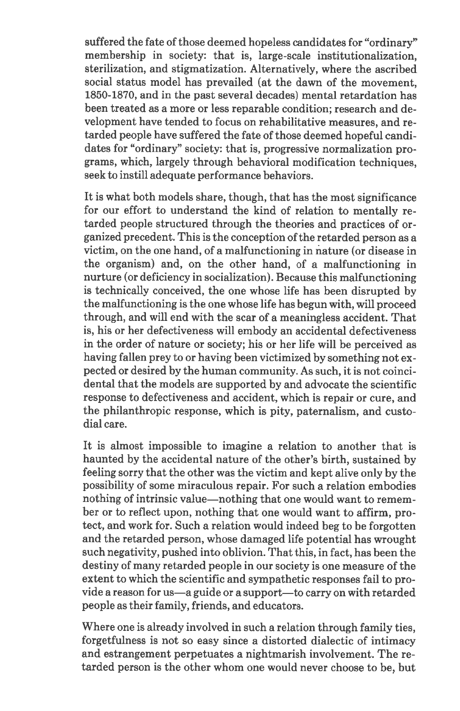suffered the fate of those deemed hopeless candidates for "ordinary" membership in society: that is, large-scale institutionalization, sterilization, and stigmatization. Alternatively, where the ascribed social status model has prevailed (at the dawn of the movement, 1850-1870, and in the past several decades) mental retardation has been treated as <sup>a</sup> more or less reparable condition; research and de velopment have tended to focus on rehabilitative measures, and re tarded people have suffered the fate of those deemed hopeful candidates for "ordinary" society: that is, progressive normalization pro grams, which, largely through behavioral modification techniques, seek to instill adequate performance behaviors.

It is what both models share, though, that has the most significance for our effort to understand the kind of relation to mentally re tarded people structured through the theories and practices of or ganized precedent. This is the conception of the retarded person as a victim, on the one hand, of <sup>a</sup> malfunctioning in nature (or disease in the organism) and, on the other hand, of <sup>a</sup> malfunctioning in nurture (or deficiency in socialization). Because this malfunctioning is technically conceived, the one whose life has been disrupted by the malfunctioning is the one whose life has begun with, will proceed through, and will end with the scar of <sup>a</sup> meaningless accident. That is, his or her defectiveness will embody an accidental defectiveness in the order of nature or society; his or her life will be perceived as having fallen prey to or having been victimized by something not ex pected or desired by the human community. As such, it is not coincidental that the models are supported by and advocate the scientific response to defectiveness and accident, which is repair or cure, and the philanthropic response, which is pity, paternalism, and custo dial care.

It is almost impossible to imagine <sup>a</sup> relation to another that is haunted by the accidental nature of the other's birth, sustained by feeling sorry that the other was the victim and kept alive only by the possibility of some miraculous repair. For such <sup>a</sup> relation embodies nothing of intrinsic value—nothing that one would want to remem ber or to reflect upon, nothing that one would want to affirm, pro tect, and work for. Such <sup>a</sup> relation would indeed beg to be forgotten and the retarded person, whose damaged life potential has wrought such negativity, pushed into oblivion. That this, in fact, has been the destiny of many retarded people in our society is one measure of the extent to which the scientific and sympathetic responses fail to pro vide <sup>a</sup> reason for us—a guide or <sup>a</sup> support—to carry on with retarded people as their family, friends, and educators.

Where one is already involved in such <sup>a</sup> relation through family ties, forgetfulness is not so easy since <sup>a</sup> distorted dialectic of intimacy and estrangement perpetuates <sup>a</sup> nightmarish involvement. The re tarded person is the other whom one would never choose to be, but